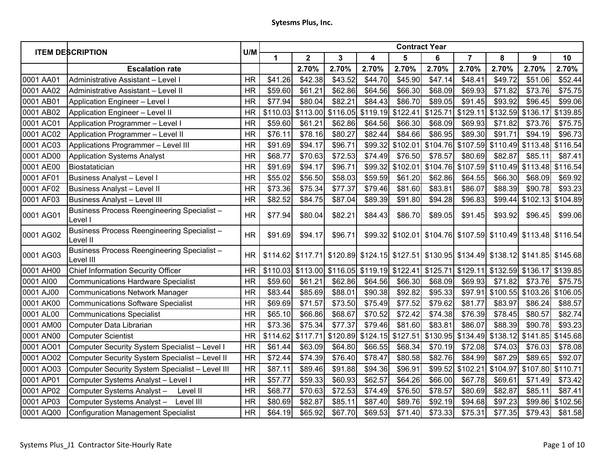| <b>ITEM DESCRIPTION</b> |                                                                 |           | <b>Contract Year</b> |                         |          |          |          |                            |                |                   |                                                                         |                  |  |
|-------------------------|-----------------------------------------------------------------|-----------|----------------------|-------------------------|----------|----------|----------|----------------------------|----------------|-------------------|-------------------------------------------------------------------------|------------------|--|
|                         |                                                                 | U/M       | 1                    | $\overline{\mathbf{2}}$ | 3        | 4        | 5        | 6                          | $\overline{7}$ | 8                 | 9                                                                       | 10               |  |
|                         | <b>Escalation rate</b>                                          |           |                      | 2.70%                   | 2.70%    | 2.70%    | 2.70%    | 2.70%                      | 2.70%          | 2.70%             | 2.70%                                                                   | 2.70%            |  |
| 0001 AA01               | Administrative Assistant - Level I                              | <b>HR</b> | \$41.26              | \$42.38                 | \$43.52  | \$44.70  | \$45.90  | \$47.14                    | \$48.41        | \$49.72           | \$51.06                                                                 | \$52.44          |  |
| 0001 AA02               | Administrative Assistant - Level II                             | <b>HR</b> | \$59.60              | \$61.21                 | \$62.86  | \$64.56  | \$66.30  | \$68.09                    | \$69.93        | \$71.82           | \$73.76                                                                 | \$75.75          |  |
| 0001 AB01               | Application Engineer - Level I                                  | <b>HR</b> | \$77.94              | \$80.04                 | \$82.21  | \$84.43  | \$86.70  | \$89.05                    | \$91.45        | \$93.92           | \$96.45                                                                 | \$99.06          |  |
| 0001 AB02               | Application Engineer - Level II                                 | <b>HR</b> | \$110.03             | \$113.00                | \$116.05 | \$119.19 | \$122.41 | \$125.71                   | \$129.11       | \$132.59          | \$136.17                                                                | \$139.85         |  |
| 0001 AC01               | Application Programmer - Level I                                | <b>HR</b> | \$59.60              | \$61.21                 | \$62.86  | \$64.56  | \$66.30  | \$68.09                    | \$69.93        | \$71.82           | \$73.76                                                                 | \$75.75          |  |
| 0001 AC02               | Application Programmer - Level II                               | <b>HR</b> | \$76.11              | \$78.16                 | \$80.27  | \$82.44  | \$84.66  | \$86.95                    | \$89.30        | \$91.71           | \$94.19                                                                 | \$96.73          |  |
| 0001 AC03               | Applications Programmer - Level III                             | <b>HR</b> | \$91.69              | \$94.17                 | \$96.71  |          |          | \$99.32 \$102.01 \$104.76  |                | \$107.59 \$110.49 | \$113.48 \$116.54                                                       |                  |  |
| 0001 AD00               | <b>Application Systems Analyst</b>                              | <b>HR</b> | \$68.77              | \$70.63                 | \$72.53  | \$74.49  | \$76.50  | \$78.57                    | \$80.69        | \$82.87           | \$85.11                                                                 | \$87.41          |  |
| 0001 AE00               | Biostatatician                                                  | <b>HR</b> | \$91.69              | \$94.17                 | \$96.71  | \$99.32  | \$102.01 | \$104.76                   | \$107.59       | \$110.49          | \$113.48                                                                | \$116.54         |  |
| 0001 AF01               | <b>Business Analyst - Level I</b>                               | <b>HR</b> | \$55.02              | \$56.50                 | \$58.03  | \$59.59  | \$61.20  | \$62.86                    | \$64.55        | \$66.30           | \$68.09                                                                 | \$69.92          |  |
| 0001 AF02               | <b>Business Analyst - Level II</b>                              | <b>HR</b> | \$73.36              | \$75.34                 | \$77.37  | \$79.46  | \$81.60  | \$83.81                    | \$86.07        | \$88.39           | \$90.78                                                                 | \$93.23          |  |
| 0001 AF03               | <b>Business Analyst - Level III</b>                             | <b>HR</b> | \$82.52              | \$84.75                 | \$87.04  | \$89.39  | \$91.80  | \$94.28                    | \$96.83        | \$99.44           | \$102.13                                                                | \$104.89         |  |
| 0001 AG01               | Business Process Reengineering Specialist -<br>Level I          | <b>HR</b> | \$77.94              | \$80.04                 | \$82.21  | \$84.43  | \$86.70  | \$89.05                    | \$91.45        | \$93.92           | \$96.45                                                                 | \$99.06          |  |
| 0001 AG02               | Business Process Reengineering Specialist -<br>Level II         | <b>HR</b> | \$91.69              | \$94.17                 | \$96.71  |          |          |                            |                |                   | \$99.32 \$102.01 \$104.76 \$107.59 \$110.49 \$113.48 \$116.54           |                  |  |
| 0001 AG03               | <b>Business Process Reengineering Specialist -</b><br>Level III | <b>HR</b> |                      | \$114.62 \$117.71       |          |          |          |                            |                |                   | \$120.89 \$124.15 \$127.51 \$130.95 \$134.49 \$138.12 \$141.85 \$145.68 |                  |  |
| 0001 AH00               | <b>Chief Information Security Officer</b>                       | <b>HR</b> | \$110.03             | \$113.00                | \$116.05 |          |          | \$119.19 \$122.41 \$125.71 | \$129.11       | \$132.59          | \$136.17                                                                | \$139.85         |  |
| 0001 AI00               | <b>Communications Hardware Specialist</b>                       | <b>HR</b> | \$59.60              | \$61.21                 | \$62.86  | \$64.56  | \$66.30  | \$68.09                    | \$69.93        | \$71.82           | \$73.76                                                                 | \$75.75          |  |
| 0001 AJ00               | <b>Communications Network Manager</b>                           | <b>HR</b> | \$83.44              | \$85.69                 | \$88.01  | \$90.38  | \$92.82  | \$95.33                    | \$97.91        | \$100.55          | \$103.26 \$106.05                                                       |                  |  |
| 0001 AK00               | <b>Communications Software Specialist</b>                       | <b>HR</b> | \$69.69              | \$71.57                 | \$73.50  | \$75.49  | \$77.52  | \$79.62                    | \$81.77        | \$83.97           | \$86.24                                                                 | \$88.57          |  |
| 0001 AL00               | <b>Communications Specialist</b>                                | <b>HR</b> | \$65.10              | \$66.86                 | \$68.67  | \$70.52  | \$72.42  | \$74.38                    | \$76.39        | \$78.45           | \$80.57                                                                 | \$82.74          |  |
| 0001 AM00               | Computer Data Librarian                                         | <b>HR</b> | \$73.36              | \$75.34                 | \$77.37  | \$79.46  | \$81.60  | \$83.81                    | \$86.07        | \$88.39           | \$90.78                                                                 | \$93.23          |  |
| 0001 AN00               | <b>Computer Scientist</b>                                       | <b>HR</b> | \$114.62             | \$117.71                | \$120.89 | \$124.15 | \$127.51 | \$130.95                   | \$134.49       | \$138.12          | \$141.85                                                                | \$145.68         |  |
| 0001 AO01               | Computer Security System Specialist - Level I                   | <b>HR</b> | \$61.44              | \$63.09                 | \$64.80  | \$66.55  | \$68.34  | \$70.19                    | \$72.08        | \$74.03           | \$76.03                                                                 | \$78.08          |  |
| 0001 AO02               | Computer Security System Specialist - Level II                  | <b>HR</b> | \$72.44              | \$74.39                 | \$76.40  | \$78.47  | \$80.58  | \$82.76                    | \$84.99        | \$87.29           | \$89.65                                                                 | \$92.07          |  |
| 0001 AO03               | Computer Security System Specialist - Level III                 | <b>HR</b> | \$87.11              | \$89.46                 | \$91.88  | \$94.36  | \$96.91  | \$99.52                    | \$102.21       | \$104.97          | \$107.80                                                                | \$110.71         |  |
| 0001 AP01               | Computer Systems Analyst - Level I                              | <b>HR</b> | \$57.77              | \$59.33                 | \$60.93  | \$62.57  | \$64.26  | \$66.00                    | \$67.78        | \$69.61           | \$71.49                                                                 | \$73.42          |  |
| 0001 AP02               | Computer Systems Analyst-<br>Level II                           | <b>HR</b> | \$68.77              | \$70.63                 | \$72.53  | \$74.49  | \$76.50  | \$78.57                    | \$80.69        | \$82.87           | \$85.11                                                                 | \$87.41          |  |
| 0001 AP03               | Computer Systems Analyst-<br>Level III                          | <b>HR</b> | \$80.69              | \$82.87                 | \$85.11  | \$87.40  | \$89.76  | \$92.19                    | \$94.68        | \$97.23           |                                                                         | \$99.86 \$102.56 |  |
| 0001 AQ00               | <b>Configuration Management Specialist</b>                      | <b>HR</b> | \$64.19              | \$65.92                 | \$67.70  | \$69.53  | \$71.40  | \$73.33                    | \$75.31        | \$77.35           | \$79.43                                                                 | \$81.58          |  |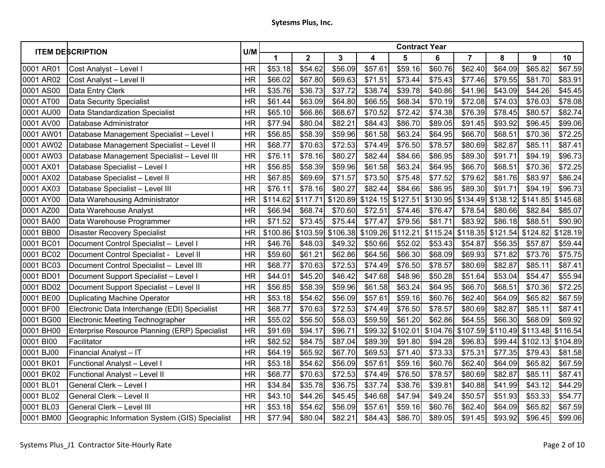| <b>ITEM DESCRIPTION</b> |                                                | U/M       | <b>Contract Year</b> |                         |          |          |          |                |                |                   |          |          |  |
|-------------------------|------------------------------------------------|-----------|----------------------|-------------------------|----------|----------|----------|----------------|----------------|-------------------|----------|----------|--|
|                         |                                                |           | 1                    | $\overline{\mathbf{2}}$ | 3        | 4        | 5        | $6\phantom{1}$ | $\overline{7}$ | 8                 | 9        | 10       |  |
| 0001 AR01               | Cost Analyst - Level I                         | <b>HR</b> | \$53.18              | \$54.62                 | \$56.09  | \$57.61  | \$59.16  | \$60.76        | \$62.40        | \$64.09           | \$65.82  | \$67.59  |  |
| 0001 AR02               | Cost Analyst - Level II                        | <b>HR</b> | \$66.02              | \$67.80                 | \$69.63  | \$71.51  | \$73.44  | \$75.43        | \$77.46        | \$79.55           | \$81.70  | \$83.91  |  |
| 0001 AS00               | Data Entry Clerk                               | <b>HR</b> | \$35.76              | \$36.73                 | \$37.72  | \$38.74  | \$39.78  | \$40.86        | \$41.96        | \$43.09           | \$44.26  | \$45.45  |  |
| 0001 AT00               | <b>Data Security Specialist</b>                | <b>HR</b> | \$61.44              | \$63.09                 | \$64.80  | \$66.55  | \$68.34  | \$70.19        | \$72.08        | \$74.03           | \$76.03  | \$78.08  |  |
| 0001 AU00               | Data Standardization Specialist                | <b>HR</b> | \$65.10              | \$66.86                 | \$68.67  | \$70.52  | \$72.42  | \$74.38        | \$76.39        | \$78.45           | \$80.57  | \$82.74  |  |
| 0001 AV00               | Database Administrator                         | <b>HR</b> | \$77.94              | \$80.04                 | \$82.21  | \$84.43  | \$86.70  | \$89.05        | \$91.45        | \$93.92           | \$96.45  | \$99.06  |  |
| 0001 AW01               | Database Management Specialist - Level I       | <b>HR</b> | \$56.85              | \$58.39                 | \$59.96  | \$61.58  | \$63.24  | \$64.95        | \$66.70        | \$68.51           | \$70.36  | \$72.25  |  |
| 0001 AW02               | Database Management Specialist - Level II      | <b>HR</b> | \$68.77              | \$70.63                 | \$72.53  | \$74.49  | \$76.50  | \$78.57        | \$80.69        | \$82.87           | \$85.11  | \$87.41  |  |
| 0001 AW03               | Database Management Specialist - Level III     | <b>HR</b> | \$76.11              | \$78.16                 | \$80.27  | \$82.44  | \$84.66  | \$86.95        | \$89.30        | \$91.71           | \$94.19  | \$96.73  |  |
| 0001 AX01               | Database Specialist - Level I                  | <b>HR</b> | \$56.85              | \$58.39                 | \$59.96  | \$61.58  | \$63.24  | \$64.95        | \$66.70        | \$68.51           | \$70.36  | \$72.25  |  |
| 0001 AX02               | Database Specialist - Level II                 | <b>HR</b> | \$67.85              | \$69.69                 | \$71.57  | \$73.50  | \$75.48  | \$77.52        | \$79.62        | \$81.76           | \$83.97  | \$86.24  |  |
| 0001 AX03               | Database Specialist - Level III                | <b>HR</b> | \$76.11              | \$78.16                 | \$80.27  | \$82.44  | \$84.66  | \$86.95        | \$89.30        | \$91.71           | \$94.19  | \$96.73  |  |
| 0001 AY00               | Data Warehousing Administrator                 | <b>HR</b> | \$114.62             | \$117.71                | \$120.89 | \$124.15 | \$127.51 | \$130.95       | \$134.49       | \$138.12          | \$141.85 | \$145.68 |  |
| 0001 AZ00               | Data Warehouse Analyst                         | <b>HR</b> | \$66.94              | \$68.74                 | \$70.60  | \$72.51  | \$74.46  | \$76.47        | \$78.54        | \$80.66           | \$82.84  | \$85.07  |  |
| 0001 BA00               | Data Warehouse Programmer                      | <b>HR</b> | \$71.52              | \$73.45                 | \$75.44  | \$77.47  | \$79.56  | \$81.71        | \$83.92        | \$86.18           | \$88.51  | \$90.90  |  |
| 0001 BB00               | <b>Disaster Recovery Specialist</b>            | <b>HR</b> | \$100.86             | \$103.59                | \$106.38 | \$109.26 | \$112.21 | \$115.24       |                | \$118.35 \$121.54 | \$124.82 | \$128.19 |  |
| 0001 BC01               | Document Control Specialist - Level I          | <b>HR</b> | \$46.76              | \$48.03                 | \$49.32  | \$50.66  | \$52.02  | \$53.43        | \$54.87        | \$56.35           | \$57.87  | \$59.44  |  |
| 0001 BC02               | Document Control Specialist - Level II         | <b>HR</b> | \$59.60              | \$61.21                 | \$62.86  | \$64.56  | \$66.30  | \$68.09        | \$69.93        | \$71.82           | \$73.76  | \$75.75  |  |
| 0001 BC03               | Document Control Specialist - Level III        | <b>HR</b> | \$68.77              | \$70.63                 | \$72.53  | \$74.49  | \$76.50  | \$78.57        | \$80.69        | \$82.87           | \$85.11  | \$87.41  |  |
| 0001 BD01               | Document Support Specialist - Level I          | <b>HR</b> | \$44.01              | \$45.20                 | \$46.42  | \$47.68  | \$48.96  | \$50.28        | \$51.64        | \$53.04           | \$54.47  | \$55.94  |  |
| 0001 BD02               | Document Support Specialist - Level II         | <b>HR</b> | \$56.85              | \$58.39                 | \$59.96  | \$61.58  | \$63.24  | \$64.95        | \$66.70        | \$68.51           | \$70.36  | \$72.25  |  |
| 0001 BE00               | Duplicating Machine Operator                   | <b>HR</b> | \$53.18              | \$54.62                 | \$56.09  | \$57.61  | \$59.16  | \$60.76        | \$62.40        | \$64.09           | \$65.82  | \$67.59  |  |
| 0001 BF00               | Electronic Data Interchange (EDI) Specialist   | <b>HR</b> | \$68.77              | \$70.63                 | \$72.53  | \$74.49  | \$76.50  | \$78.57        | \$80.69        | \$82.87           | \$85.11  | \$87.41  |  |
| 0001 BG00               | Electronic Meeting Technographer               | <b>HR</b> | \$55.02              | \$56.50                 | \$58.03  | \$59.59  | \$61.20  | \$62.86        | \$64.55        | \$66.30           | \$68.09  | \$69.92  |  |
| 0001 BH00               | Enterprise Resource Planning (ERP) Specialist  | <b>HR</b> | \$91.69              | \$94.17                 | \$96.71  | \$99.32  | \$102.01 | \$104.76       | \$107.59       | \$110.49          | \$113.48 | \$116.54 |  |
| 0001 BI00               | Facilitator                                    | <b>HR</b> | \$82.52              | \$84.75                 | \$87.04  | \$89.39  | \$91.80  | \$94.28        | \$96.83        | \$99.44           | \$102.13 | \$104.89 |  |
| 0001 BJ00               | Financial Analyst - IT                         | <b>HR</b> | \$64.19              | \$65.92                 | \$67.70  | \$69.53  | \$71.40  | \$73.33        | \$75.31        | \$77.35           | \$79.43  | \$81.58  |  |
| 0001 BK01               | Functional Analyst - Level I                   | <b>HR</b> | \$53.18              | \$54.62                 | \$56.09  | \$57.61  | \$59.16  | \$60.76        | \$62.40        | \$64.09           | \$65.82  | \$67.59  |  |
| 0001 BK02               | Functional Analyst - Level II                  | <b>HR</b> | \$68.77              | \$70.63                 | \$72.53  | \$74.49  | \$76.50  | \$78.57        | \$80.69        | \$82.87           | \$85.11  | \$87.41  |  |
| 0001 BL01               | General Clerk - Level I                        | <b>HR</b> | \$34.84              | \$35.78                 | \$36.75  | \$37.74  | \$38.76  | \$39.81        | \$40.88        | \$41.99           | \$43.12  | \$44.29  |  |
| 0001 BL02               | General Clerk - Level II                       | <b>HR</b> | \$43.10              | \$44.26                 | \$45.45  | \$46.68  | \$47.94  | \$49.24        | \$50.57        | \$51.93           | \$53.33  | \$54.77  |  |
| 0001 BL03               | <b>General Clerk - Level III</b>               | <b>HR</b> | \$53.18              | \$54.62                 | \$56.09  | \$57.61  | \$59.16  | \$60.76        | \$62.40        | \$64.09           | \$65.82  | \$67.59  |  |
| 0001 BM00               | Geographic Information System (GIS) Specialist | <b>HR</b> | \$77.94              | \$80.04                 | \$82.21  | \$84.43  | \$86.70  | \$89.05        | \$91.45        | \$93.92           | \$96.45  | \$99.06  |  |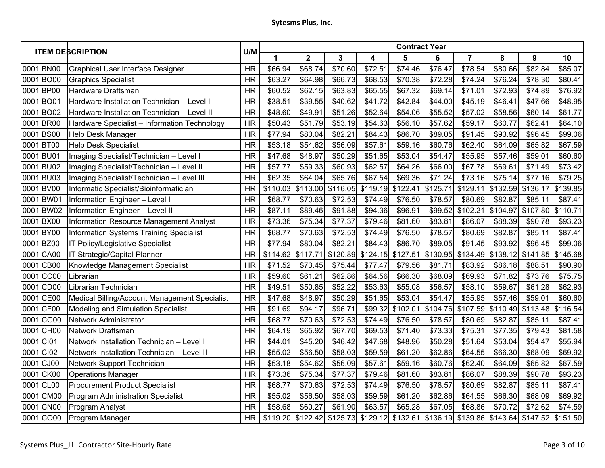| <b>ITEM DESCRIPTION</b> |                                                | U/M       | <b>Contract Year</b> |             |              |          |          |          |                |          |                                                                                  |          |  |
|-------------------------|------------------------------------------------|-----------|----------------------|-------------|--------------|----------|----------|----------|----------------|----------|----------------------------------------------------------------------------------|----------|--|
|                         |                                                |           | 1                    | $\mathbf 2$ | $\mathbf{3}$ | 4        | 5        | 6        | $\overline{7}$ | 8        | 9                                                                                | 10       |  |
| 0001 BN00               | Graphical User Interface Designer              | <b>HR</b> | \$66.94              | \$68.74     | \$70.60      | \$72.51  | \$74.46  | \$76.47  | \$78.54        | \$80.66  | \$82.84                                                                          | \$85.07  |  |
| 0001 BO00               | <b>Graphics Specialist</b>                     | <b>HR</b> | \$63.27              | \$64.98     | \$66.73      | \$68.53  | \$70.38  | \$72.28  | \$74.24        | \$76.24  | \$78.30                                                                          | \$80.41  |  |
| 0001 BP00               | Hardware Draftsman                             | <b>HR</b> | \$60.52              | \$62.15     | \$63.83      | \$65.55  | \$67.32  | \$69.14  | \$71.01        | \$72.93  | \$74.89                                                                          | \$76.92  |  |
| 0001 BQ01               | Hardware Installation Technician - Level I     | <b>HR</b> | \$38.51              | \$39.55     | \$40.62      | \$41.72  | \$42.84  | \$44.00  | \$45.19        | \$46.41  | \$47.66                                                                          | \$48.95  |  |
| 0001 BQ02               | Hardware Installation Technician - Level II    | <b>HR</b> | \$48.60              | \$49.91     | \$51.26      | \$52.64  | \$54.06  | \$55.52  | \$57.02        | \$58.56  | \$60.14                                                                          | \$61.77  |  |
| 0001 BR00               | Hardware Specialist - Information Technology   | <b>HR</b> | \$50.43              | \$51.79     | \$53.19      | \$54.63  | \$56.10  | \$57.62  | \$59.17        | \$60.77  | \$62.41                                                                          | \$64.10  |  |
| 0001 BS00               | Help Desk Manager                              | <b>HR</b> | \$77.94              | \$80.04     | \$82.21      | \$84.43  | \$86.70  | \$89.05  | \$91.45        | \$93.92  | \$96.45                                                                          | \$99.06  |  |
| 0001 BT00               | <b>Help Desk Specialist</b>                    | <b>HR</b> | \$53.18              | \$54.62     | \$56.09      | \$57.61  | \$59.16  | \$60.76  | \$62.40        | \$64.09  | \$65.82                                                                          | \$67.59  |  |
| 0001 BU01               | Imaging Specialist/Technician - Level I        | <b>HR</b> | \$47.68              | \$48.97     | \$50.29      | \$51.65  | \$53.04  | \$54.47  | \$55.95        | \$57.46  | \$59.01                                                                          | \$60.60  |  |
| 0001 BU02               | Imaging Specialist/Technician - Level II       | <b>HR</b> | \$57.77              | \$59.33     | \$60.93      | \$62.57  | \$64.26  | \$66.00  | \$67.78        | \$69.61  | \$71.49                                                                          | \$73.42  |  |
| 0001 BU03               | Imaging Specialist/Technician - Level III      | <b>HR</b> | \$62.35              | \$64.04     | \$65.76      | \$67.54  | \$69.36  | \$71.24  | \$73.16        | \$75.14  | \$77.16                                                                          | \$79.25  |  |
| 0001 BV00               | Informatic Specialist/Bioinformatician         | <b>HR</b> | \$110.03             | \$113.00    | \$116.05     | \$119.19 | \$122.41 | \$125.71 | \$129.11       | \$132.59 | \$136.17                                                                         | \$139.85 |  |
| 0001 BW01               | Information Engineer - Level I                 | <b>HR</b> | \$68.77              | \$70.63     | \$72.53      | \$74.49  | \$76.50  | \$78.57  | \$80.69        | \$82.87  | \$85.11                                                                          | \$87.41  |  |
| 0001 BW02               | Information Engineer - Level II                | <b>HR</b> | \$87.11              | \$89.46     | \$91.88      | \$94.36  | \$96.91  | \$99.52  | \$102.21       | \$104.97 | \$107.80                                                                         | \$110.71 |  |
| 0001 BX00               | <b>Information Resource Management Analyst</b> | <b>HR</b> | \$73.36              | \$75.34     | \$77.37      | \$79.46  | \$81.60  | \$83.81  | \$86.07        | \$88.39  | \$90.78                                                                          | \$93.23  |  |
| 0001 BY00               | Information Systems Training Specialist        | <b>HR</b> | \$68.77              | \$70.63     | \$72.53      | \$74.49  | \$76.50  | \$78.57  | \$80.69        | \$82.87  | \$85.11                                                                          | \$87.41  |  |
| 0001 BZ00               | IT Policy/Legislative Specialist               | <b>HR</b> | \$77.94              | \$80.04     | \$82.21      | \$84.43  | \$86.70  | \$89.05  | \$91.45        | \$93.92  | \$96.45                                                                          | \$99.06  |  |
| 0001 CA00               | IT Strategic/Capital Planner                   | <b>HR</b> | \$114.62             | \$117.71    | \$120.89     | \$124.15 | \$127.51 | \$130.95 | \$134.49       | \$138.12 | \$141.85                                                                         | \$145.68 |  |
| 0001 CB00               | Knowledge Management Specialist                | <b>HR</b> | \$71.52              | \$73.45     | \$75.44      | \$77.47  | \$79.56  | \$81.71  | \$83.92        | \$86.18  | \$88.51                                                                          | \$90.90  |  |
| 0001 CC00               | Librarian                                      | <b>HR</b> | \$59.60              | \$61.21     | \$62.86      | \$64.56  | \$66.30  | \$68.09  | \$69.93        | \$71.82  | \$73.76                                                                          | \$75.75  |  |
| 0001 CD00               | Librarian Technician                           | <b>HR</b> | \$49.51              | \$50.85     | \$52.22      | \$53.63  | \$55.08  | \$56.57  | \$58.10        | \$59.67  | \$61.28                                                                          | \$62.93  |  |
| 0001 CE00               | Medical Billing/Account Management Specialist  | <b>HR</b> | \$47.68              | \$48.97     | \$50.29      | \$51.65  | \$53.04  | \$54.47  | \$55.95        | \$57.46  | \$59.01                                                                          | \$60.60  |  |
| 0001 CF00               | Modeling and Simulation Specialist             | <b>HR</b> | \$91.69              | \$94.17     | \$96.71      | \$99.32  | \$102.01 | \$104.76 | \$107.59       | \$110.49 | \$113.48                                                                         | \$116.54 |  |
| 0001 CG00               | Network Administrator                          | <b>HR</b> | \$68.77              | \$70.63     | \$72.53      | \$74.49  | \$76.50  | \$78.57  | \$80.69        | \$82.87  | \$85.11                                                                          | \$87.41  |  |
| 0001 CH00               | Network Draftsman                              | <b>HR</b> | \$64.19              | \$65.92     | \$67.70      | \$69.53  | \$71.40  | \$73.33  | \$75.31        | \$77.35  | \$79.43                                                                          | \$81.58  |  |
| 0001 CI01               | Network Installation Technician - Level I      | <b>HR</b> | \$44.01              | \$45.20     | \$46.42      | \$47.68  | \$48.96  | \$50.28  | \$51.64        | \$53.04  | \$54.47                                                                          | \$55.94  |  |
| 0001 CI02               | Network Installation Technician - Level II     | <b>HR</b> | \$55.02              | \$56.50     | \$58.03      | \$59.59  | \$61.20  | \$62.86  | \$64.55        | \$66.30  | \$68.09                                                                          | \$69.92  |  |
| 0001 CJ00               | Network Support Technician                     | <b>HR</b> | \$53.18              | \$54.62     | \$56.09      | \$57.61  | \$59.16  | \$60.76  | \$62.40        | \$64.09  | \$65.82                                                                          | \$67.59  |  |
| 0001 CK00               | <b>Operations Manager</b>                      | <b>HR</b> | \$73.36              | \$75.34     | \$77.37      | \$79.46  | \$81.60  | \$83.81  | \$86.07        | \$88.39  | \$90.78                                                                          | \$93.23  |  |
| 0001 CL00               | <b>Procurement Product Specialist</b>          | <b>HR</b> | \$68.77              | \$70.63     | \$72.53      | \$74.49  | \$76.50  | \$78.57  | \$80.69        | \$82.87  | \$85.11                                                                          | \$87.41  |  |
| 0001 CM00               | <b>Program Administration Specialist</b>       | <b>HR</b> | \$55.02              | \$56.50     | \$58.03      | \$59.59  | \$61.20  | \$62.86  | \$64.55        | \$66.30  | \$68.09                                                                          | \$69.92  |  |
| 0001 CN00               | Program Analyst                                | <b>HR</b> | \$58.68              | \$60.27     | \$61.90      | \$63.57  | \$65.28  | \$67.05  | \$68.86        | \$70.72  | \$72.62                                                                          | \$74.59  |  |
| 0001 CO00               | Program Manager                                | <b>HR</b> | \$119.20             |             |              |          |          |          |                |          | \$122.42 \$125.73 \$129.12 \$132.61 \$136.19 \$139.86 \$143.64 \$147.52 \$151.50 |          |  |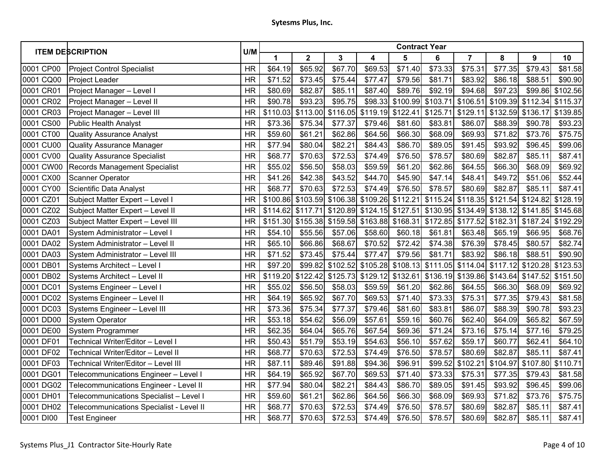| <b>ITEM DESCRIPTION</b> |                                          | U/M       | <b>Contract Year</b> |                         |          |          |                           |          |                |          |                   |          |  |
|-------------------------|------------------------------------------|-----------|----------------------|-------------------------|----------|----------|---------------------------|----------|----------------|----------|-------------------|----------|--|
|                         |                                          |           | 1                    | $\overline{\mathbf{2}}$ | 3        | 4        | 5                         | 6        | $\overline{7}$ | 8        | $\boldsymbol{9}$  | 10       |  |
| 0001 CP00               | <b>Project Control Specialist</b>        | <b>HR</b> | \$64.19              | \$65.92                 | \$67.70  | \$69.53  | \$71.40                   | \$73.33  | \$75.31        | \$77.35  | \$79.43           | \$81.58  |  |
| 0001 CQ00               | <b>Project Leader</b>                    | <b>HR</b> | \$71.52              | \$73.45                 | \$75.44  | \$77.47  | \$79.56                   | \$81.71  | \$83.92        | \$86.18  | \$88.51           | \$90.90  |  |
| 0001 CR01               | Project Manager - Level I                | <b>HR</b> | \$80.69              | \$82.87                 | \$85.11  | \$87.40  | \$89.76                   | \$92.19  | \$94.68        | \$97.23  | \$99.86           | \$102.56 |  |
| 0001 CR02               | Project Manager - Level II               | <b>HR</b> | \$90.78              | \$93.23                 | \$95.75  |          | \$98.33 \$100.99 \$103.71 |          | \$106.51       | \$109.39 | \$112.34 \$115.37 |          |  |
| 0001 CR03               | Project Manager - Level III              | <b>HR</b> | \$110.03             | \$113.00                | \$116.05 | \$119.19 | \$122.41                  | \$125.71 | \$129.11       | \$132.59 | \$136.17          | \$139.85 |  |
| 0001 CS00               | <b>Public Health Analyst</b>             | <b>HR</b> | \$73.36              | \$75.34                 | \$77.37  | \$79.46  | \$81.60                   | \$83.81  | \$86.07        | \$88.39  | \$90.78           | \$93.23  |  |
| 0001 CT00               | <b>Quality Assurance Analyst</b>         | <b>HR</b> | \$59.60              | \$61.21                 | \$62.86  | \$64.56  | \$66.30                   | \$68.09  | \$69.93        | \$71.82  | \$73.76           | \$75.75  |  |
| 0001 CU00               | <b>Quality Assurance Manager</b>         | <b>HR</b> | \$77.94              | \$80.04                 | \$82.21  | \$84.43  | \$86.70                   | \$89.05  | \$91.45        | \$93.92  | \$96.45           | \$99.06  |  |
| 0001 CV00               | <b>Quality Assurance Specialist</b>      | <b>HR</b> | \$68.77              | \$70.63                 | \$72.53  | \$74.49  | \$76.50                   | \$78.57  | \$80.69        | \$82.87  | \$85.11           | \$87.41  |  |
| 0001 CW00               | Records Management Specialist            | <b>HR</b> | \$55.02              | \$56.50                 | \$58.03  | \$59.59  | \$61.20                   | \$62.86  | \$64.55        | \$66.30  | \$68.09           | \$69.92  |  |
| 0001 CX00               | <b>Scanner Operator</b>                  | <b>HR</b> | \$41.26              | \$42.38                 | \$43.52  | \$44.70  | \$45.90                   | \$47.14  | \$48.41        | \$49.72  | \$51.06           | \$52.44  |  |
| 0001 CY00               | Scientific Data Analyst                  | <b>HR</b> | \$68.77              | \$70.63                 | \$72.53  | \$74.49  | \$76.50                   | \$78.57  | \$80.69        | \$82.87  | \$85.11           | \$87.41  |  |
| 0001 CZ01               | Subject Matter Expert - Level I          | <b>HR</b> | \$100.86             | \$103.59                | \$106.38 |          | \$109.26 \$112.21         | \$115.24 | \$118.35       | \$121.54 | \$124.82          | \$128.19 |  |
| 0001 CZ02               | Subject Matter Expert - Level II         | <b>HR</b> | \$114.62             | \$117.71                | \$120.89 |          | \$124.15 \$127.51         | \$130.95 | \$134.49       | \$138.12 | \$141.85          | \$145.68 |  |
| 0001 CZ03               | Subject Matter Expert - Level III        | <b>HR</b> | \$151.30             | \$155.38                | \$159.58 |          | \$163.88 \$168.31         | \$172.85 | \$177.52       | \$182.31 | \$187.24          | \$192.29 |  |
| 0001 DA01               | System Administrator - Level I           | <b>HR</b> | \$54.10              | \$55.56                 | \$57.06  | \$58.60  | \$60.18                   | \$61.81  | \$63.48        | \$65.19  | \$66.95           | \$68.76  |  |
| 0001 DA02               | System Administrator - Level II          | <b>HR</b> | \$65.10              | \$66.86                 | \$68.67  | \$70.52  | \$72.42                   | \$74.38  | \$76.39        | \$78.45  | \$80.57           | \$82.74  |  |
| 0001 DA03               | System Administrator - Level III         | <b>HR</b> | \$71.52              | \$73.45                 | \$75.44  | \$77.47  | \$79.56                   | \$81.71  | \$83.92        | \$86.18  | \$88.51           | \$90.90  |  |
| 0001 DB01               | Systems Architect - Level I              | <b>HR</b> | \$97.20              | \$99.82                 | \$102.52 |          | $$105.28$ $$108.13$       | \$111.05 | \$114.04       | \$117.12 | \$120.28          | \$123.53 |  |
| 0001 DB02               | Systems Architect - Level II             | <b>HR</b> | \$119.20             | \$122.42                | \$125.73 |          | \$129.12 \$132.61         | \$136.19 | \$139.86       | \$143.64 | \$147.52          | \$151.50 |  |
| 0001 DC01               | Systems Engineer - Level I               | <b>HR</b> | \$55.02              | \$56.50                 | \$58.03  | \$59.59  | \$61.20                   | \$62.86  | \$64.55        | \$66.30  | \$68.09           | \$69.92  |  |
| 0001 DC02               | Systems Engineer - Level II              | <b>HR</b> | \$64.19              | \$65.92                 | \$67.70  | \$69.53  | \$71.40                   | \$73.33  | \$75.31        | \$77.35  | \$79.43           | \$81.58  |  |
| 0001 DC03               | Systems Engineer - Level III             | <b>HR</b> | \$73.36              | \$75.34                 | \$77.37  | \$79.46  | \$81.60                   | \$83.81  | \$86.07        | \$88.39  | \$90.78           | \$93.23  |  |
| 0001 DD00               | <b>System Operator</b>                   | <b>HR</b> | \$53.18              | \$54.62                 | \$56.09  | \$57.61  | \$59.16                   | \$60.76  | \$62.40        | \$64.09  | \$65.82           | \$67.59  |  |
| 0001 DE00               | System Programmer                        | <b>HR</b> | \$62.35              | \$64.04                 | \$65.76  | \$67.54  | \$69.36                   | \$71.24  | \$73.16        | \$75.14  | \$77.16           | \$79.25  |  |
| 0001 DF01               | Technical Writer/Editor - Level I        | <b>HR</b> | \$50.43              | \$51.79                 | \$53.19  | \$54.63  | \$56.10                   | \$57.62  | \$59.17        | \$60.77  | \$62.41           | \$64.10  |  |
| 0001 DF02               | Technical Writer/Editor - Level II       | <b>HR</b> | \$68.77              | \$70.63                 | \$72.53  | \$74.49  | \$76.50                   | \$78.57  | \$80.69        | \$82.87  | \$85.11           | \$87.41  |  |
| 0001 DF03               | Technical Writer/Editor - Level III      | <b>HR</b> | \$87.11              | \$89.46                 | \$91.88  | \$94.36  | \$96.91                   | \$99.52  | \$102.21       | \$104.97 | \$107.80          | \$110.71 |  |
| 0001 DG01               | Telecommunications Engineer - Level I    | <b>HR</b> | \$64.19              | \$65.92                 | \$67.70  | \$69.53  | \$71.40                   | \$73.33  | \$75.31        | \$77.35  | \$79.43           | \$81.58  |  |
| 0001 DG02               | Telecommunications Engineer - Level II   | <b>HR</b> | \$77.94              | \$80.04                 | \$82.21  | \$84.43  | \$86.70                   | \$89.05  | \$91.45        | \$93.92  | \$96.45           | \$99.06  |  |
| 0001 DH01               | Telecommunications Specialist - Level I  | <b>HR</b> | \$59.60              | \$61.21                 | \$62.86  | \$64.56  | \$66.30                   | \$68.09  | \$69.93        | \$71.82  | \$73.76           | \$75.75  |  |
| 0001 DH02               | Telecommunications Specialist - Level II | <b>HR</b> | \$68.77              | \$70.63                 | \$72.53  | \$74.49  | \$76.50                   | \$78.57  | \$80.69        | \$82.87  | \$85.11           | \$87.41  |  |
| 0001 DI00               | <b>Test Engineer</b>                     | <b>HR</b> | \$68.77              | \$70.63                 | \$72.53  | \$74.49  | \$76.50                   | \$78.57  | \$80.69        | \$82.87  | \$85.11           | \$87.41  |  |